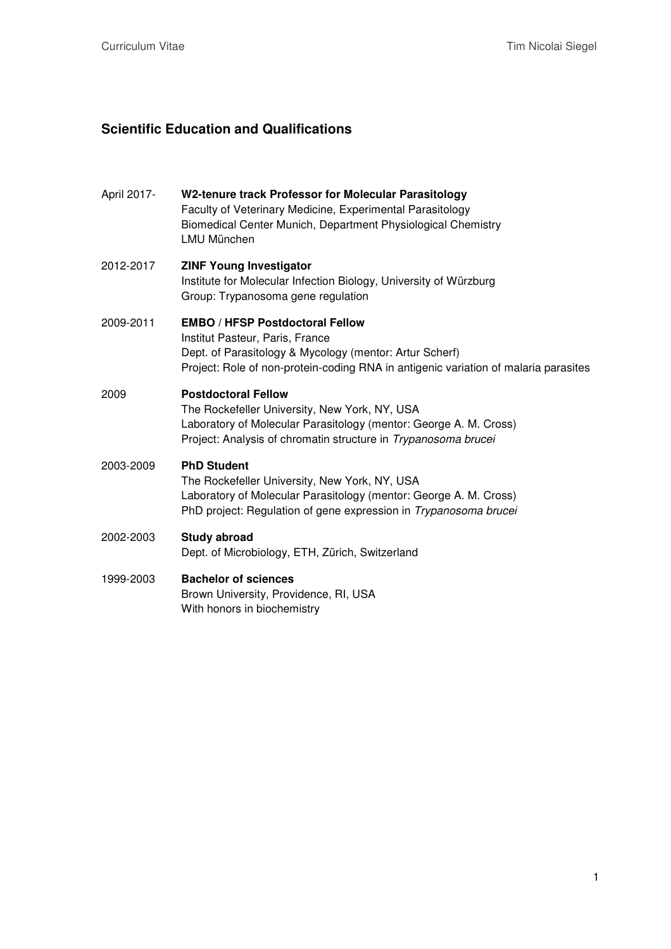## **Scientific Education and Qualifications**

| April 2017- | W2-tenure track Professor for Molecular Parasitology<br>Faculty of Veterinary Medicine, Experimental Parasitology<br>Biomedical Center Munich, Department Physiological Chemistry<br><b>LMU München</b>                     |
|-------------|-----------------------------------------------------------------------------------------------------------------------------------------------------------------------------------------------------------------------------|
| 2012-2017   | <b>ZINF Young Investigator</b><br>Institute for Molecular Infection Biology, University of Würzburg<br>Group: Trypanosoma gene regulation                                                                                   |
| 2009-2011   | <b>EMBO / HFSP Postdoctoral Fellow</b><br>Institut Pasteur, Paris, France<br>Dept. of Parasitology & Mycology (mentor: Artur Scherf)<br>Project: Role of non-protein-coding RNA in antigenic variation of malaria parasites |
| 2009        | <b>Postdoctoral Fellow</b><br>The Rockefeller University, New York, NY, USA<br>Laboratory of Molecular Parasitology (mentor: George A. M. Cross)<br>Project: Analysis of chromatin structure in Trypanosoma brucei          |
| 2003-2009   | <b>PhD Student</b><br>The Rockefeller University, New York, NY, USA<br>Laboratory of Molecular Parasitology (mentor: George A. M. Cross)<br>PhD project: Regulation of gene expression in <i>Trypanosoma brucei</i>         |
| 2002-2003   | <b>Study abroad</b><br>Dept. of Microbiology, ETH, Zürich, Switzerland                                                                                                                                                      |
| 1999-2003   | <b>Bachelor of sciences</b><br>Brown University, Providence, RI, USA<br>With honors in biochemistry                                                                                                                         |